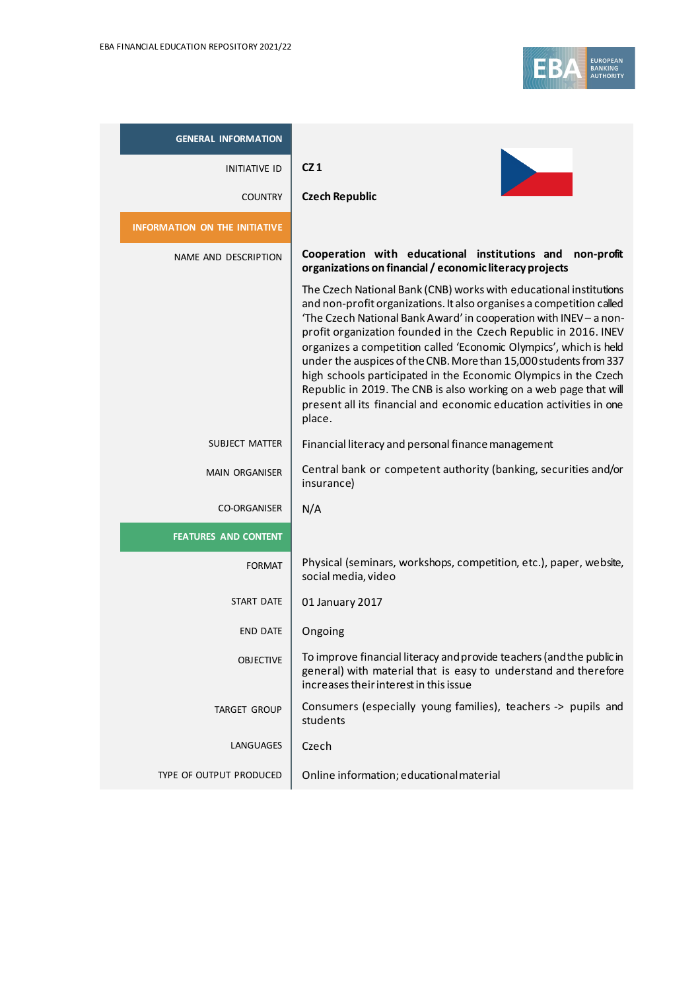

| <b>GENERAL INFORMATION</b>           |                                                                                                                                                                                                                                                                                                                                                                                                                                                                                                                                                                                                                                                     |
|--------------------------------------|-----------------------------------------------------------------------------------------------------------------------------------------------------------------------------------------------------------------------------------------------------------------------------------------------------------------------------------------------------------------------------------------------------------------------------------------------------------------------------------------------------------------------------------------------------------------------------------------------------------------------------------------------------|
| <b>INITIATIVE ID</b>                 | CZ1                                                                                                                                                                                                                                                                                                                                                                                                                                                                                                                                                                                                                                                 |
| <b>COUNTRY</b>                       | <b>Czech Republic</b>                                                                                                                                                                                                                                                                                                                                                                                                                                                                                                                                                                                                                               |
| <b>INFORMATION ON THE INITIATIVE</b> |                                                                                                                                                                                                                                                                                                                                                                                                                                                                                                                                                                                                                                                     |
| NAME AND DESCRIPTION                 | Cooperation with educational institutions and non-profit<br>organizations on financial / economic literacy projects                                                                                                                                                                                                                                                                                                                                                                                                                                                                                                                                 |
|                                      | The Czech National Bank (CNB) works with educational institutions<br>and non-profit organizations. It also organises a competition called<br>'The Czech National Bank Award' in cooperation with INEV - a non-<br>profit organization founded in the Czech Republic in 2016. INEV<br>organizes a competition called 'Economic Olympics', which is held<br>under the auspices of the CNB. More than 15,000 students from 337<br>high schools participated in the Economic Olympics in the Czech<br>Republic in 2019. The CNB is also working on a web page that will<br>present all its financial and economic education activities in one<br>place. |
| SUBJECT MATTER                       | Financial literacy and personal finance management                                                                                                                                                                                                                                                                                                                                                                                                                                                                                                                                                                                                  |
| <b>MAIN ORGANISER</b>                | Central bank or competent authority (banking, securities and/or<br>insurance)                                                                                                                                                                                                                                                                                                                                                                                                                                                                                                                                                                       |
| <b>CO-ORGANISER</b>                  | N/A                                                                                                                                                                                                                                                                                                                                                                                                                                                                                                                                                                                                                                                 |
| <b>FEATURES AND CONTENT</b>          |                                                                                                                                                                                                                                                                                                                                                                                                                                                                                                                                                                                                                                                     |
| <b>FORMAT</b>                        | Physical (seminars, workshops, competition, etc.), paper, website,<br>social media, video                                                                                                                                                                                                                                                                                                                                                                                                                                                                                                                                                           |
| START DATE                           | 01 January 2017                                                                                                                                                                                                                                                                                                                                                                                                                                                                                                                                                                                                                                     |
| <b>END DATE</b>                      | Ongoing                                                                                                                                                                                                                                                                                                                                                                                                                                                                                                                                                                                                                                             |
| <b>OBJECTIVE</b>                     | To improve financial literacy and provide teachers (and the public in<br>general) with material that is easy to understand and therefore<br>increases their interest in this issue                                                                                                                                                                                                                                                                                                                                                                                                                                                                  |
| <b>TARGET GROUP</b>                  | Consumers (especially young families), teachers -> pupils and<br>students                                                                                                                                                                                                                                                                                                                                                                                                                                                                                                                                                                           |
| <b>LANGUAGES</b>                     | Czech                                                                                                                                                                                                                                                                                                                                                                                                                                                                                                                                                                                                                                               |
| TYPE OF OUTPUT PRODUCED              | Online information; educational material                                                                                                                                                                                                                                                                                                                                                                                                                                                                                                                                                                                                            |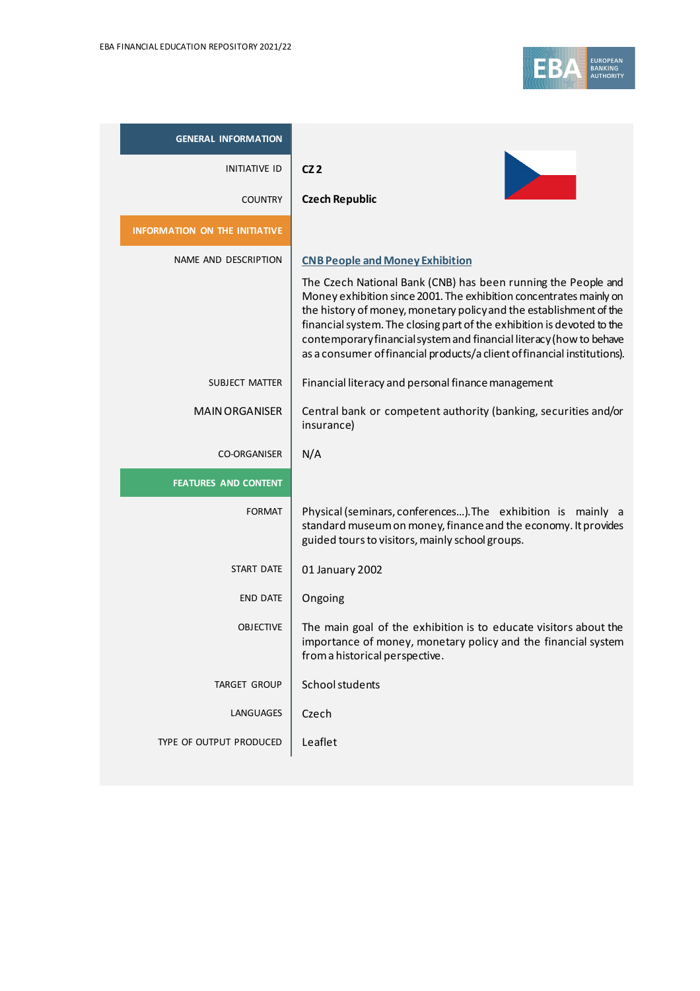

| <b>GENERAL INFORMATION</b>           |                                                                                                                                                                                                                                                                                                                                                                                                                                        |
|--------------------------------------|----------------------------------------------------------------------------------------------------------------------------------------------------------------------------------------------------------------------------------------------------------------------------------------------------------------------------------------------------------------------------------------------------------------------------------------|
| <b>INITIATIVE ID</b>                 | CZ2                                                                                                                                                                                                                                                                                                                                                                                                                                    |
| <b>COUNTRY</b>                       | <b>Czech Republic</b>                                                                                                                                                                                                                                                                                                                                                                                                                  |
| <b>INFORMATION ON THE INITIATIVE</b> |                                                                                                                                                                                                                                                                                                                                                                                                                                        |
| NAME AND DESCRIPTION                 | <b>CNB People and Money Exhibition</b>                                                                                                                                                                                                                                                                                                                                                                                                 |
|                                      | The Czech National Bank (CNB) has been running the People and<br>Money exhibition since 2001. The exhibition concentrates mainly on<br>the history of money, monetary policy and the establishment of the<br>financial system. The closing part of the exhibition is devoted to the<br>contemporary financial system and financial literacy (how to behave<br>as a consumer of financial products/a client of financial institutions). |
| SUBJECT MATTER                       | Financial literacy and personal finance management                                                                                                                                                                                                                                                                                                                                                                                     |
| <b>MAIN ORGANISER</b>                | Central bank or competent authority (banking, securities and/or<br>insurance)                                                                                                                                                                                                                                                                                                                                                          |
| <b>CO-ORGANISER</b>                  | N/A                                                                                                                                                                                                                                                                                                                                                                                                                                    |
| <b>FEATURES AND CONTENT</b>          |                                                                                                                                                                                                                                                                                                                                                                                                                                        |
| <b>FORMAT</b>                        | Physical (seminars, conferences). The exhibition is mainly a<br>standard museum on money, finance and the economy. It provides<br>guided tours to visitors, mainly school groups.                                                                                                                                                                                                                                                      |
| START DATE                           | 01 January 2002                                                                                                                                                                                                                                                                                                                                                                                                                        |
| <b>END DATE</b>                      | Ongoing                                                                                                                                                                                                                                                                                                                                                                                                                                |
| <b>OBJECTIVE</b>                     | The main goal of the exhibition is to educate visitors about the<br>importance of money, monetary policy and the financial system<br>from a historical perspective.                                                                                                                                                                                                                                                                    |
| <b>TARGET GROUP</b>                  | School students                                                                                                                                                                                                                                                                                                                                                                                                                        |
| LANGUAGES                            | Czech                                                                                                                                                                                                                                                                                                                                                                                                                                  |
| TYPE OF OUTPUT PRODUCED              | Leaflet                                                                                                                                                                                                                                                                                                                                                                                                                                |
|                                      |                                                                                                                                                                                                                                                                                                                                                                                                                                        |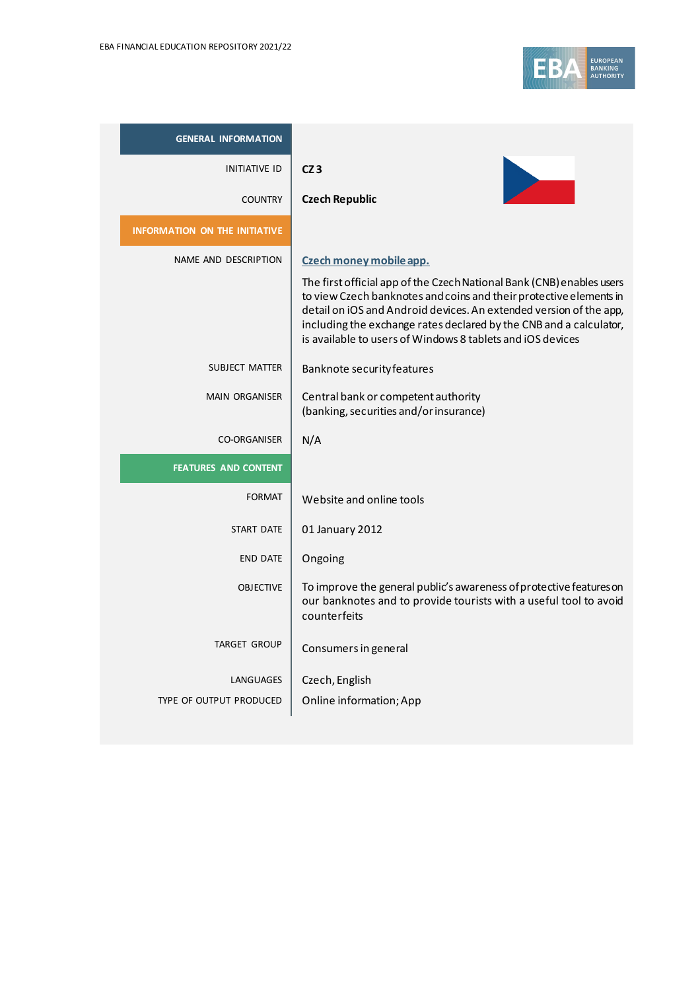

| <b>GENERAL INFORMATION</b>           |                                                                                                                                                                                                                                                                              |
|--------------------------------------|------------------------------------------------------------------------------------------------------------------------------------------------------------------------------------------------------------------------------------------------------------------------------|
| <b>INITIATIVE ID</b>                 | CZ3                                                                                                                                                                                                                                                                          |
| <b>COUNTRY</b>                       | <b>Czech Republic</b>                                                                                                                                                                                                                                                        |
| <b>INFORMATION ON THE INITIATIVE</b> |                                                                                                                                                                                                                                                                              |
| NAME AND DESCRIPTION                 | Czech money mobile app.<br>The first official app of the Czech National Bank (CNB) enables users                                                                                                                                                                             |
|                                      | to view Czech banknotes and coins and their protective elements in<br>detail on iOS and Android devices. An extended version of the app,<br>including the exchange rates declared by the CNB and a calculator,<br>is available to users of Windows 8 tablets and iOS devices |
| SUBJECT MATTER                       | Banknote security features                                                                                                                                                                                                                                                   |
| <b>MAIN ORGANISER</b>                | Central bank or competent authority<br>(banking, securities and/or insurance)                                                                                                                                                                                                |
| <b>CO-ORGANISER</b>                  | N/A                                                                                                                                                                                                                                                                          |
| <b>FEATURES AND CONTENT</b>          |                                                                                                                                                                                                                                                                              |
| <b>FORMAT</b>                        | Website and online tools                                                                                                                                                                                                                                                     |
| <b>START DATE</b>                    | 01 January 2012                                                                                                                                                                                                                                                              |
| <b>END DATE</b>                      | Ongoing                                                                                                                                                                                                                                                                      |
| <b>OBJECTIVE</b>                     | To improve the general public's awareness of protective features on<br>our banknotes and to provide tourists with a useful tool to avoid<br>counterfeits                                                                                                                     |
| <b>TARGET GROUP</b>                  | Consumers in general                                                                                                                                                                                                                                                         |
| <b>LANGUAGES</b>                     | Czech, English                                                                                                                                                                                                                                                               |
| TYPE OF OUTPUT PRODUCED              | Online information; App                                                                                                                                                                                                                                                      |
|                                      |                                                                                                                                                                                                                                                                              |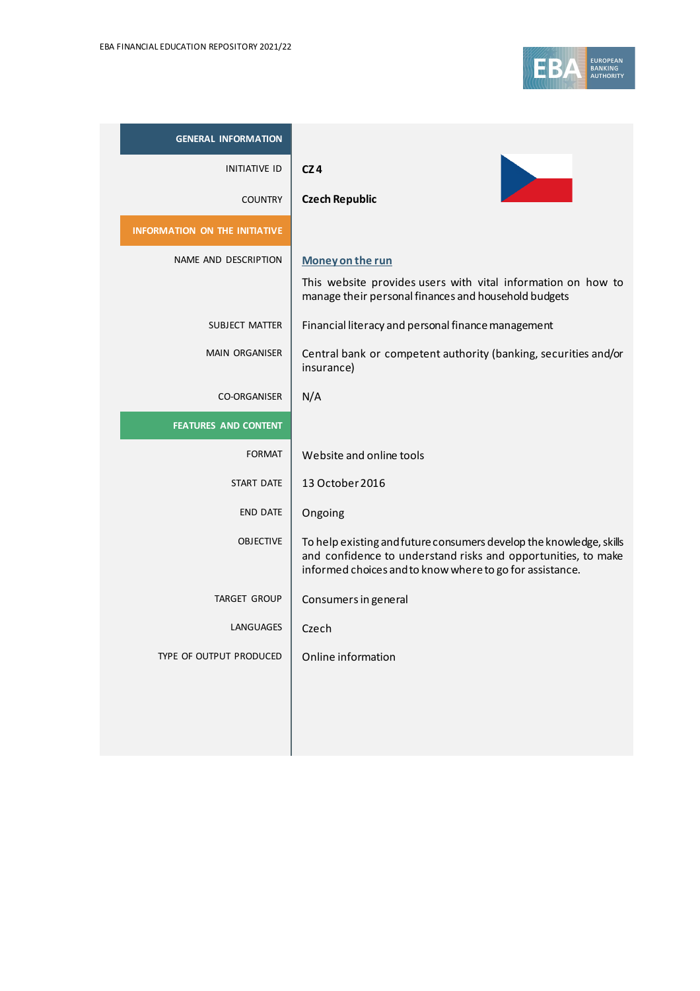

| <b>GENERAL INFORMATION</b>           |                                                                                                                                                                                                  |
|--------------------------------------|--------------------------------------------------------------------------------------------------------------------------------------------------------------------------------------------------|
| <b>INITIATIVE ID</b>                 | CZ4                                                                                                                                                                                              |
| <b>COUNTRY</b>                       | <b>Czech Republic</b>                                                                                                                                                                            |
| <b>INFORMATION ON THE INITIATIVE</b> |                                                                                                                                                                                                  |
| NAME AND DESCRIPTION                 | Money on the run                                                                                                                                                                                 |
|                                      | This website provides users with vital information on how to<br>manage their personal finances and household budgets                                                                             |
| SUBJECT MATTER                       | Financial literacy and personal finance management                                                                                                                                               |
| <b>MAIN ORGANISER</b>                | Central bank or competent authority (banking, securities and/or<br>insurance)                                                                                                                    |
| <b>CO-ORGANISER</b>                  | N/A                                                                                                                                                                                              |
| <b>FEATURES AND CONTENT</b>          |                                                                                                                                                                                                  |
| <b>FORMAT</b>                        | Website and online tools                                                                                                                                                                         |
| START DATE                           | 13 October 2016                                                                                                                                                                                  |
|                                      |                                                                                                                                                                                                  |
| <b>END DATE</b>                      | Ongoing                                                                                                                                                                                          |
| <b>OBJECTIVE</b>                     | To help existing and future consumers develop the knowledge, skills<br>and confidence to understand risks and opportunities, to make<br>informed choices and to know where to go for assistance. |
| <b>TARGET GROUP</b>                  | Consumers in general                                                                                                                                                                             |
| <b>LANGUAGES</b>                     | Czech                                                                                                                                                                                            |
| TYPE OF OUTPUT PRODUCED              | Online information                                                                                                                                                                               |
|                                      |                                                                                                                                                                                                  |
|                                      |                                                                                                                                                                                                  |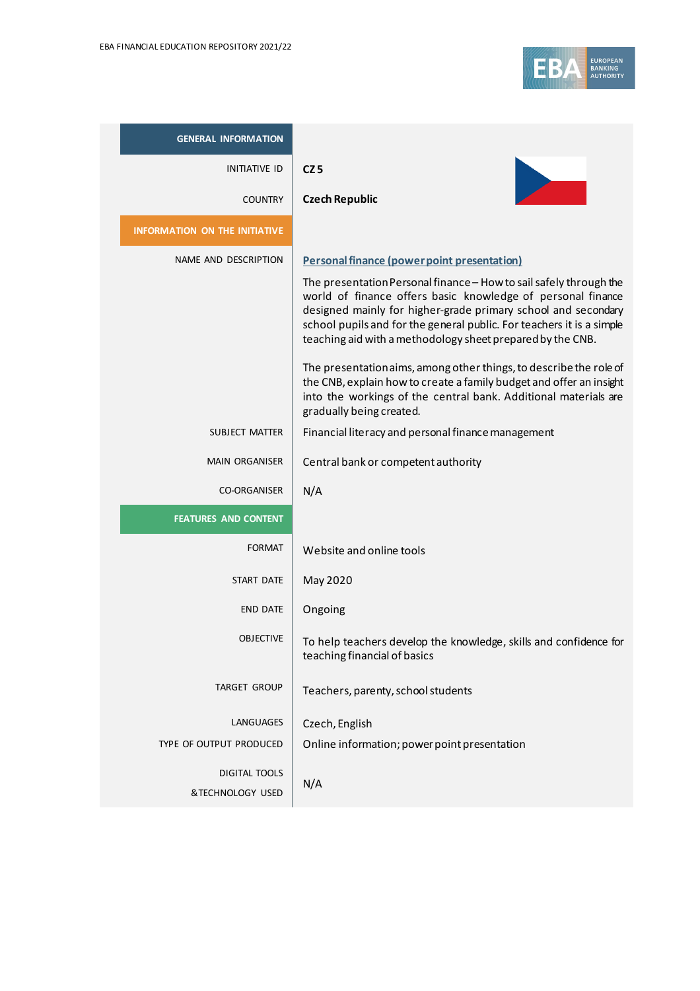

| <b>GENERAL INFORMATION</b>           |                                                                                                                                                                                                                                                                                                                                           |
|--------------------------------------|-------------------------------------------------------------------------------------------------------------------------------------------------------------------------------------------------------------------------------------------------------------------------------------------------------------------------------------------|
| <b>INITIATIVE ID</b>                 | CZ <sub>5</sub>                                                                                                                                                                                                                                                                                                                           |
| <b>COUNTRY</b>                       | <b>Czech Republic</b>                                                                                                                                                                                                                                                                                                                     |
| <b>INFORMATION ON THE INITIATIVE</b> |                                                                                                                                                                                                                                                                                                                                           |
| NAME AND DESCRIPTION                 | <b>Personal finance (power point presentation)</b>                                                                                                                                                                                                                                                                                        |
|                                      | The presentation Personal finance - How to sail safely through the<br>world of finance offers basic knowledge of personal finance<br>designed mainly for higher-grade primary school and secondary<br>school pupils and for the general public. For teachers it is a simple<br>teaching aid with a methodology sheet prepared by the CNB. |
|                                      | The presentation aims, among other things, to describe the role of<br>the CNB, explain how to create a family budget and offer an insight<br>into the workings of the central bank. Additional materials are<br>gradually being created.                                                                                                  |
| SUBJECT MATTER                       | Financial literacy and personal finance management                                                                                                                                                                                                                                                                                        |
| <b>MAIN ORGANISER</b>                | Central bank or competent authority                                                                                                                                                                                                                                                                                                       |
| <b>CO-ORGANISER</b>                  | N/A                                                                                                                                                                                                                                                                                                                                       |
| <b>FEATURES AND CONTENT</b>          |                                                                                                                                                                                                                                                                                                                                           |
| <b>FORMAT</b>                        | Website and online tools                                                                                                                                                                                                                                                                                                                  |
| <b>START DATE</b>                    | May 2020                                                                                                                                                                                                                                                                                                                                  |
| <b>END DATE</b>                      | Ongoing                                                                                                                                                                                                                                                                                                                                   |
| <b>OBJECTIVE</b>                     | To help teachers develop the knowledge, skills and confidence for<br>teaching financial of basics                                                                                                                                                                                                                                         |
| <b>TARGET GROUP</b>                  | Teachers, parenty, school students                                                                                                                                                                                                                                                                                                        |
| LANGUAGES                            | Czech, English                                                                                                                                                                                                                                                                                                                            |
| TYPE OF OUTPUT PRODUCED              | Online information; power point presentation                                                                                                                                                                                                                                                                                              |
| <b>DIGITAL TOOLS</b>                 | N/A                                                                                                                                                                                                                                                                                                                                       |
| &TECHNOLOGY USED                     |                                                                                                                                                                                                                                                                                                                                           |